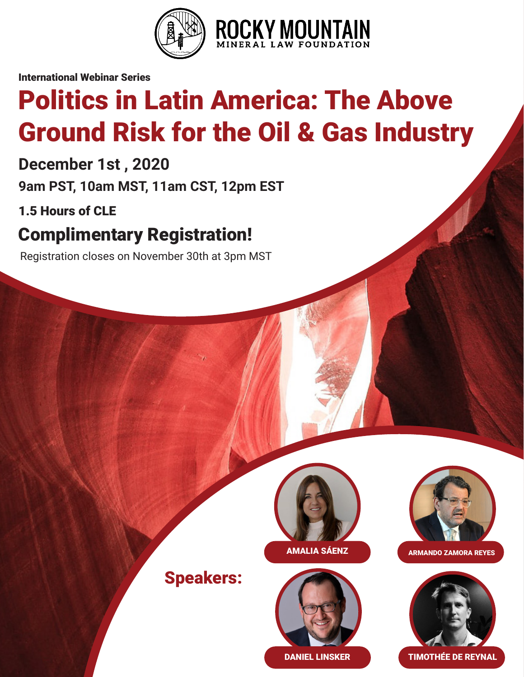

International Webinar Series

# Politics in Latin America: The Above Ground Risk for the Oil & Gas Industry

**December 1st , 2020**

**9am PST, 10am MST, 11am CST, 12pm EST**

1.5 Hours of CLE

# Complimentary Registration!

Registration closes on November 30th at 3pm MST



Speakers:





AMALIA SÁENZ **ARMANDO ZAMORA REYES** 



DANIEL LINSKER **TIMOTHÉE DE REYNAL**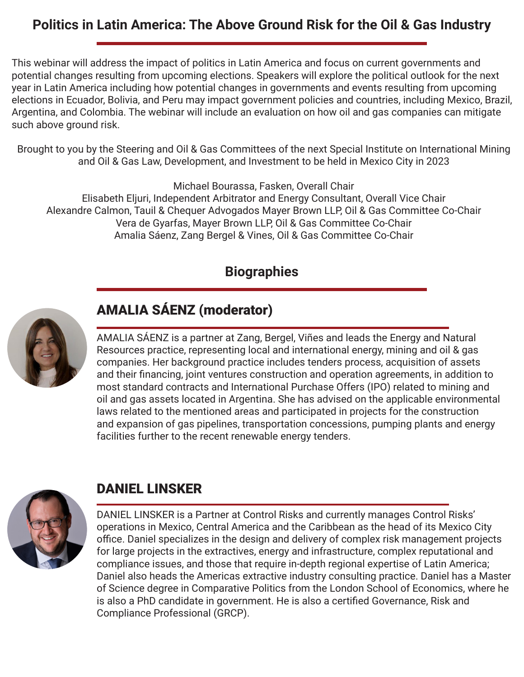#### **Politics in Latin America: The Above Ground Risk for the Oil & Gas Industry**

This webinar will address the impact of politics in Latin America and focus on current governments and potential changes resulting from upcoming elections. Speakers will explore the political outlook for the next year in Latin America including how potential changes in governments and events resulting from upcoming elections in Ecuador, Bolivia, and Peru may impact government policies and countries, including Mexico, Brazil, Argentina, and Colombia. The webinar will include an evaluation on how oil and gas companies can mitigate such above ground risk.

Brought to you by the Steering and Oil & Gas Committees of the next Special Institute on International Mining and Oil & Gas Law, Development, and Investment to be held in Mexico City in 2023

Michael Bourassa, Fasken, Overall Chair Elisabeth Eljuri, Independent Arbitrator and Energy Consultant, Overall Vice Chair Alexandre Calmon, Tauil & Chequer Advogados Mayer Brown LLP, Oil & Gas Committee Co-Chair Vera de Gyarfas, Mayer Brown LLP, Oil & Gas Committee Co-Chair Amalia Sáenz, Zang Bergel & Vines, Oil & Gas Committee Co-Chair

#### **Biographies**



### AMALIA SÁENZ (moderator)

AMALIA SÁENZ is a partner at Zang, Bergel, Viñes and leads the Energy and Natural Resources practice, representing local and international energy, mining and oil & gas companies. Her background practice includes tenders process, acquisition of assets and their financing, joint ventures construction and operation agreements, in addition to most standard contracts and International Purchase Offers (IPO) related to mining and oil and gas assets located in Argentina. She has advised on the applicable environmental laws related to the mentioned areas and participated in projects for the construction and expansion of gas pipelines, transportation concessions, pumping plants and energy facilities further to the recent renewable energy tenders.



### DANIEL LINSKER

DANIEL LINSKER is a Partner at Control Risks and currently manages Control Risks' operations in Mexico, Central America and the Caribbean as the head of its Mexico City office. Daniel specializes in the design and delivery of complex risk management projects for large projects in the extractives, energy and infrastructure, complex reputational and compliance issues, and those that require in-depth regional expertise of Latin America; Daniel also heads the Americas extractive industry consulting practice. Daniel has a Master of Science degree in Comparative Politics from the London School of Economics, where he is also a PhD candidate in government. He is also a certified Governance, Risk and Compliance Professional (GRCP).